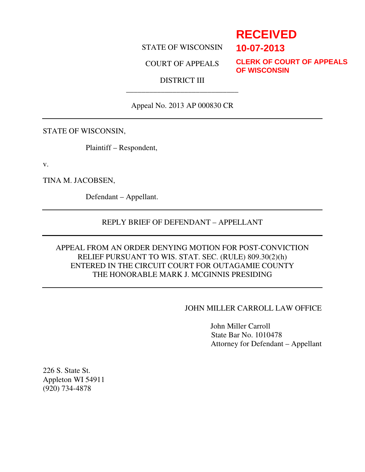## STATE OF WISCONSIN

COURT OF APPEALS

**CLERK OF COURT OF APPEALS OF WISCONSIN**

**RECEIVED**

**10-07-2013**

## DISTRICT III \_\_\_\_\_\_\_\_\_\_\_\_\_\_\_\_\_\_\_\_\_\_\_\_\_\_\_\_\_

# Appeal No. 2013 AP 000830 CR

### STATE OF WISCONSIN,

Plaintiff – Respondent,

v.

TINA M. JACOBSEN,

Defendant – Appellant.

### REPLY BRIEF OF DEFENDANT – APPELLANT

## APPEAL FROM AN ORDER DENYING MOTION FOR POST-CONVICTION RELIEF PURSUANT TO WIS. STAT. SEC. (RULE) 809.30(2)(h) ENTERED IN THE CIRCUIT COURT FOR OUTAGAMIE COUNTY THE HONORABLE MARK J. MCGINNIS PRESIDING

### JOHN MILLER CARROLL LAW OFFICE

 John Miller Carroll State Bar No. 1010478 Attorney for Defendant – Appellant

226 S. State St. Appleton WI 54911 (920) 734-4878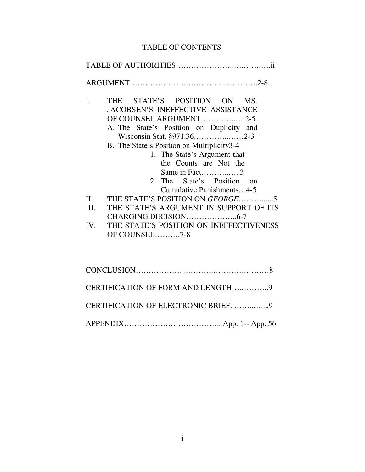# TABLE OF CONTENTS

| $\mathbf{I}$ .                    | THE STATE'S POSITION ON MS.<br><b>JACOBSEN'S INEFFECTIVE ASSISTANCE</b><br>OF COUNSEL ARGUMENT2-5<br>A. The State's Position on Duplicity and<br>Wisconsin Stat. §971.362-3<br>B. The State's Position on Multiplicity3-4<br>1. The State's Argument that<br>the Counts are Not the<br>Same in Fact3<br>2. The State's Position<br>on<br>Cumulative Punishments4-5 |  |  |  |
|-----------------------------------|--------------------------------------------------------------------------------------------------------------------------------------------------------------------------------------------------------------------------------------------------------------------------------------------------------------------------------------------------------------------|--|--|--|
| $\Pi$ .                           | THE STATE'S POSITION ON <i>GEORGE</i> 5                                                                                                                                                                                                                                                                                                                            |  |  |  |
| III.                              | THE STATE'S ARGUMENT IN SUPPORT OF ITS                                                                                                                                                                                                                                                                                                                             |  |  |  |
|                                   |                                                                                                                                                                                                                                                                                                                                                                    |  |  |  |
| IV.                               | THE STATE'S POSITION ON INEFFECTIVENESS<br>OF COUNSEL7-8                                                                                                                                                                                                                                                                                                           |  |  |  |
|                                   |                                                                                                                                                                                                                                                                                                                                                                    |  |  |  |
| CERTIFICATION OF FORM AND LENGTH9 |                                                                                                                                                                                                                                                                                                                                                                    |  |  |  |

| CERTIFICATION OF ELECTRONIC BRIEF9 |  |
|------------------------------------|--|

APPENDIX………………………………...App. 1-- App. 56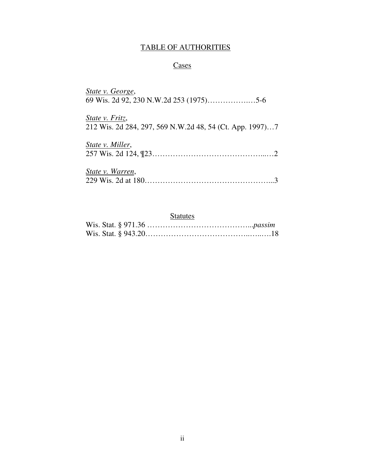# TABLE OF AUTHORITIES

## **Cases**

| State v. George,                                                            |
|-----------------------------------------------------------------------------|
| State v. Fritz,<br>212 Wis. 2d 284, 297, 569 N.W.2d 48, 54 (Ct. App. 1997)7 |
| State v. Miller,                                                            |
| State v. Warren,                                                            |

# **Statutes**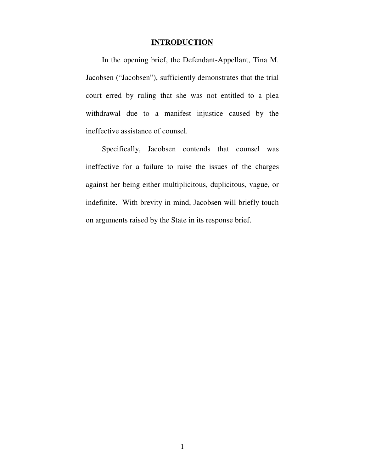## **INTRODUCTION**

In the opening brief, the Defendant-Appellant, Tina M. Jacobsen ("Jacobsen"), sufficiently demonstrates that the trial court erred by ruling that she was not entitled to a plea withdrawal due to a manifest injustice caused by the ineffective assistance of counsel.

Specifically, Jacobsen contends that counsel was ineffective for a failure to raise the issues of the charges against her being either multiplicitous, duplicitous, vague, or indefinite. With brevity in mind, Jacobsen will briefly touch on arguments raised by the State in its response brief.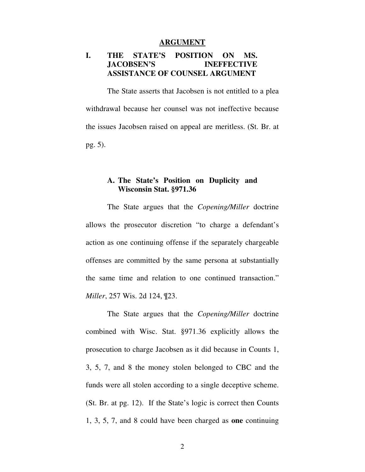#### **ARGUMENT**

## **I. THE STATE'S POSITION ON MS. JACOBSEN'S INEFFECTIVE ASSISTANCE OF COUNSEL ARGUMENT**

The State asserts that Jacobsen is not entitled to a plea withdrawal because her counsel was not ineffective because the issues Jacobsen raised on appeal are meritless. (St. Br. at pg. 5).

## **A. The State's Position on Duplicity and Wisconsin Stat. §971.36**

The State argues that the *Copening/Miller* doctrine allows the prosecutor discretion "to charge a defendant's action as one continuing offense if the separately chargeable offenses are committed by the same persona at substantially the same time and relation to one continued transaction." *Miller*, 257 Wis. 2d 124, ¶23.

The State argues that the *Copening/Miller* doctrine combined with Wisc. Stat. §971.36 explicitly allows the prosecution to charge Jacobsen as it did because in Counts 1, 3, 5, 7, and 8 the money stolen belonged to CBC and the funds were all stolen according to a single deceptive scheme. (St. Br. at pg. 12). If the State's logic is correct then Counts 1, 3, 5, 7, and 8 could have been charged as **one** continuing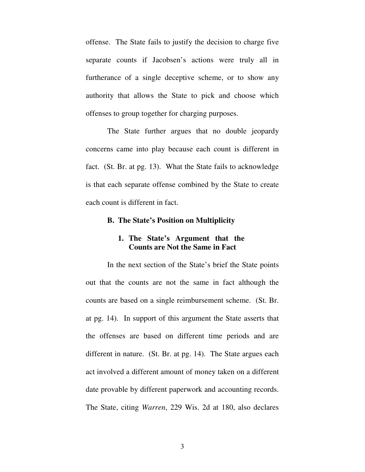offense. The State fails to justify the decision to charge five separate counts if Jacobsen's actions were truly all in furtherance of a single deceptive scheme, or to show any authority that allows the State to pick and choose which offenses to group together for charging purposes.

The State further argues that no double jeopardy concerns came into play because each count is different in fact. (St. Br. at pg. 13). What the State fails to acknowledge is that each separate offense combined by the State to create each count is different in fact.

#### **B. The State's Position on Multiplicity**

## **1. The State's Argument that the Counts are Not the Same in Fact**

In the next section of the State's brief the State points out that the counts are not the same in fact although the counts are based on a single reimbursement scheme. (St. Br. at pg. 14). In support of this argument the State asserts that the offenses are based on different time periods and are different in nature. (St. Br. at pg. 14). The State argues each act involved a different amount of money taken on a different date provable by different paperwork and accounting records. The State, citing *Warren*, 229 Wis. 2d at 180, also declares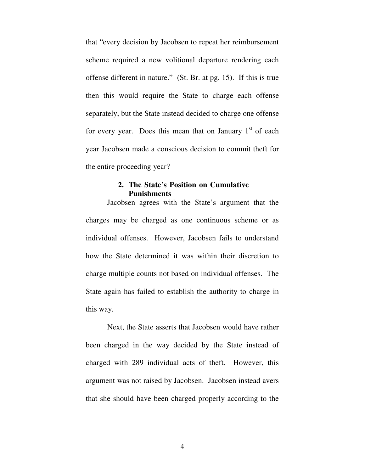that "every decision by Jacobsen to repeat her reimbursement scheme required a new volitional departure rendering each offense different in nature." (St. Br. at pg. 15). If this is true then this would require the State to charge each offense separately, but the State instead decided to charge one offense for every year. Does this mean that on January  $1<sup>st</sup>$  of each year Jacobsen made a conscious decision to commit theft for the entire proceeding year?

## **2. The State's Position on Cumulative Punishments**

Jacobsen agrees with the State's argument that the charges may be charged as one continuous scheme or as individual offenses. However, Jacobsen fails to understand how the State determined it was within their discretion to charge multiple counts not based on individual offenses. The State again has failed to establish the authority to charge in this way.

Next, the State asserts that Jacobsen would have rather been charged in the way decided by the State instead of charged with 289 individual acts of theft. However, this argument was not raised by Jacobsen. Jacobsen instead avers that she should have been charged properly according to the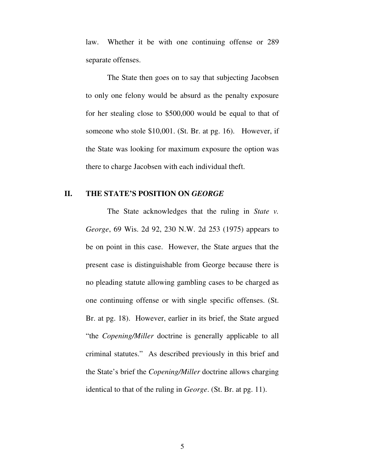law. Whether it be with one continuing offense or 289 separate offenses.

The State then goes on to say that subjecting Jacobsen to only one felony would be absurd as the penalty exposure for her stealing close to \$500,000 would be equal to that of someone who stole \$10,001. (St. Br. at pg. 16). However, if the State was looking for maximum exposure the option was there to charge Jacobsen with each individual theft.

## **II. THE STATE'S POSITION ON** *GEORGE*

The State acknowledges that the ruling in *State v. George*, 69 Wis. 2d 92, 230 N.W. 2d 253 (1975) appears to be on point in this case. However, the State argues that the present case is distinguishable from George because there is no pleading statute allowing gambling cases to be charged as one continuing offense or with single specific offenses. (St. Br. at pg. 18). However, earlier in its brief, the State argued "the *Copening/Miller* doctrine is generally applicable to all criminal statutes." As described previously in this brief and the State's brief the *Copening/Miller* doctrine allows charging identical to that of the ruling in *George*. (St. Br. at pg. 11).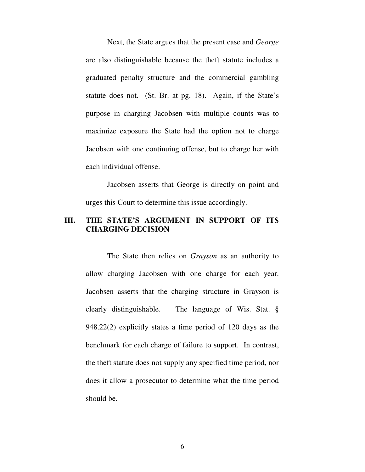Next, the State argues that the present case and *George*  are also distinguishable because the theft statute includes a graduated penalty structure and the commercial gambling statute does not. (St. Br. at pg. 18). Again, if the State's purpose in charging Jacobsen with multiple counts was to maximize exposure the State had the option not to charge Jacobsen with one continuing offense, but to charge her with each individual offense.

Jacobsen asserts that George is directly on point and urges this Court to determine this issue accordingly.

## **III. THE STATE'S ARGUMENT IN SUPPORT OF ITS CHARGING DECISION**

The State then relies on *Grayson* as an authority to allow charging Jacobsen with one charge for each year. Jacobsen asserts that the charging structure in Grayson is clearly distinguishable. The language of Wis. Stat. § 948.22(2) explicitly states a time period of 120 days as the benchmark for each charge of failure to support. In contrast, the theft statute does not supply any specified time period, nor does it allow a prosecutor to determine what the time period should be.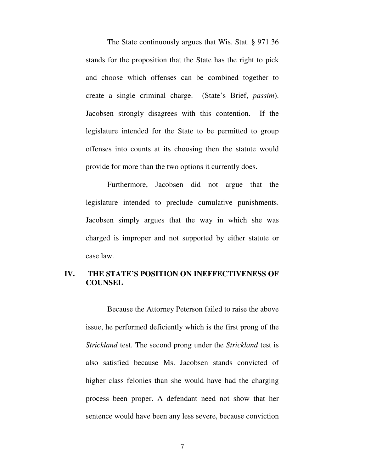The State continuously argues that Wis. Stat. § 971.36 stands for the proposition that the State has the right to pick and choose which offenses can be combined together to create a single criminal charge. (State's Brief, *passim*). Jacobsen strongly disagrees with this contention. If the legislature intended for the State to be permitted to group offenses into counts at its choosing then the statute would provide for more than the two options it currently does.

Furthermore, Jacobsen did not argue that the legislature intended to preclude cumulative punishments. Jacobsen simply argues that the way in which she was charged is improper and not supported by either statute or case law.

## **IV. THE STATE'S POSITION ON INEFFECTIVENESS OF COUNSEL**

Because the Attorney Peterson failed to raise the above issue, he performed deficiently which is the first prong of the *Strickland* test. The second prong under the *Strickland* test is also satisfied because Ms. Jacobsen stands convicted of higher class felonies than she would have had the charging process been proper. A defendant need not show that her sentence would have been any less severe, because conviction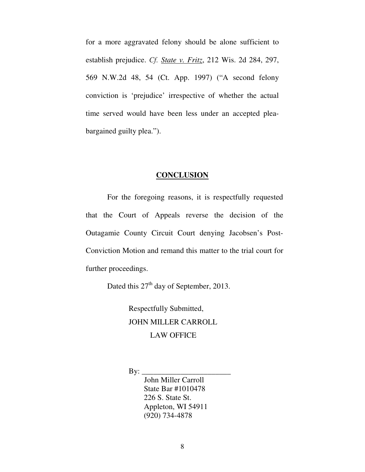for a more aggravated felony should be alone sufficient to establish prejudice. *Cf. State v. Fritz*, 212 Wis. 2d 284, 297, 569 N.W.2d 48, 54 (Ct. App. 1997) ("A second felony conviction is 'prejudice' irrespective of whether the actual time served would have been less under an accepted pleabargained guilty plea.").

#### **CONCLUSION**

For the foregoing reasons, it is respectfully requested that the Court of Appeals reverse the decision of the Outagamie County Circuit Court denying Jacobsen's Post-Conviction Motion and remand this matter to the trial court for further proceedings.

Dated this 27<sup>th</sup> day of September, 2013.

Respectfully Submitted, JOHN MILLER CARROLL LAW OFFICE

 $\text{By:}\_\_$ 

 John Miller Carroll State Bar #1010478 226 S. State St. Appleton, WI 54911 (920) 734-4878